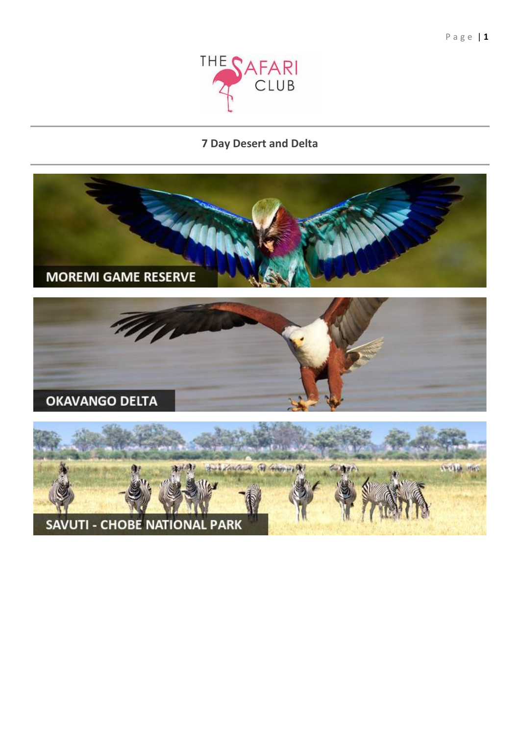

# 7 Day Desert and Delta

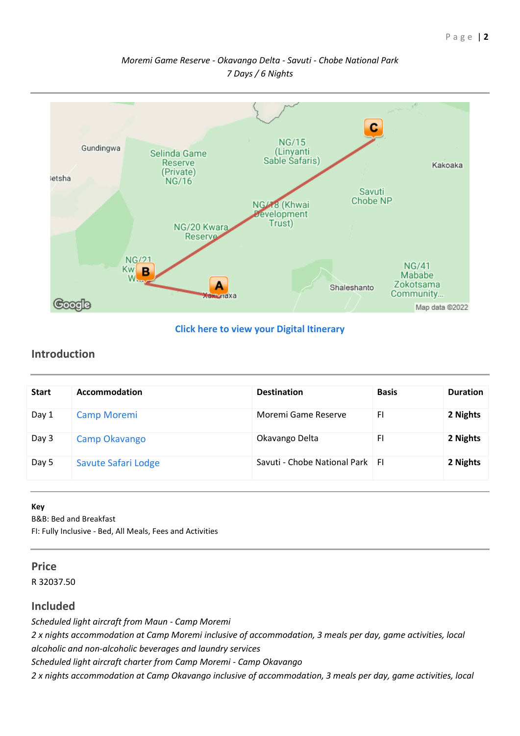# *Moremi Game Reserve - Okavango Delta - Savuti - Chobe National Park 7 Days / 6 Nights*



### **[Click here to view your Digital Itinerary](https://wetu.com/Itinerary/Landing/11EB89F9-98CF-4CB0-A691-18C3882FE0C3)**

# **Introduction**

| <b>Start</b> | Accommodation       | <b>Destination</b>                | <b>Basis</b> | <b>Duration</b> |
|--------------|---------------------|-----------------------------------|--------------|-----------------|
| Day 1        | Camp Moremi         | Moremi Game Reserve               | FI.          | 2 Nights        |
| Day 3        | Camp Okavango       | Okavango Delta                    | <b>FI</b>    | 2 Nights        |
| Day 5        | Savute Safari Lodge | Savuti - Chobe National Park   Fl |              | 2 Nights        |

#### **Key**

B&B: Bed and Breakfast

FI: Fully Inclusive - Bed, All Meals, Fees and Activities

#### **Price**

R 32037.50

# **Included**

*Scheduled light aircraft from Maun - Camp Moremi*

*2 x nights accommodation at Camp Moremi inclusive of accommodation, 3 meals per day, game activities, local alcoholic and non-alcoholic beverages and laundry services*

*Scheduled light aircraft charter from Camp Moremi - Camp Okavango*

*2 x nights accommodation at Camp Okavango inclusive of accommodation, 3 meals per day, game activities, local*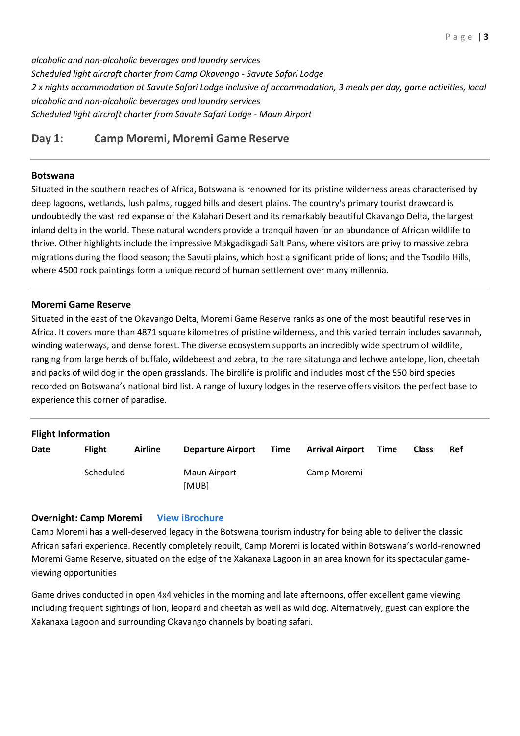*alcoholic and non-alcoholic beverages and laundry services Scheduled light aircraft charter from Camp Okavango - Savute Safari Lodge 2 x nights accommodation at Savute Safari Lodge inclusive of accommodation, 3 meals per day, game activities, local alcoholic and non-alcoholic beverages and laundry services Scheduled light aircraft charter from Savute Safari Lodge - Maun Airport*

# **Day 1: Camp Moremi, Moremi Game Reserve**

#### **Botswana**

Situated in the southern reaches of Africa, Botswana is renowned for its pristine wilderness areas characterised by deep lagoons, wetlands, lush palms, rugged hills and desert plains. The country's primary tourist drawcard is undoubtedly the vast red expanse of the Kalahari Desert and its remarkably beautiful Okavango Delta, the largest inland delta in the world. These natural wonders provide a tranquil haven for an abundance of African wildlife to thrive. Other highlights include the impressive Makgadikgadi Salt Pans, where visitors are privy to massive zebra migrations during the flood season; the Savuti plains, which host a significant pride of lions; and the Tsodilo Hills, where 4500 rock paintings form a unique record of human settlement over many millennia.

#### **Moremi Game Reserve**

Situated in the east of the Okavango Delta, Moremi Game Reserve ranks as one of the most beautiful reserves in Africa. It covers more than 4871 square kilometres of pristine wilderness, and this varied terrain includes savannah, winding waterways, and dense forest. The diverse ecosystem supports an incredibly wide spectrum of wildlife, ranging from large herds of buffalo, wildebeest and zebra, to the rare sitatunga and lechwe antelope, lion, cheetah and packs of wild dog in the open grasslands. The birdlife is prolific and includes most of the 550 bird species recorded on Botswana's national bird list. A range of luxury lodges in the reserve offers visitors the perfect base to experience this corner of paradise.

| <b>Flight Information</b> |               |         |                          |      |                        |      |              |     |  |
|---------------------------|---------------|---------|--------------------------|------|------------------------|------|--------------|-----|--|
| Date                      | <b>Flight</b> | Airline | <b>Departure Airport</b> | Time | <b>Arrival Airport</b> | Time | <b>Class</b> | Ref |  |
|                           | Scheduled     |         | Maun Airport<br>[MUB]    |      | Camp Moremi            |      |              |     |  |

#### **Overnight: Camp Moremi [View iBrochure](https://wetu.com/iBrochure/6585_19669_10082)**

Camp Moremi has a well-deserved legacy in the Botswana tourism industry for being able to deliver the classic African safari experience. Recently completely rebuilt, Camp Moremi is located within Botswana's world-renowned Moremi Game Reserve, situated on the edge of the Xakanaxa Lagoon in an area known for its spectacular gameviewing opportunities

Game drives conducted in open 4x4 vehicles in the morning and late afternoons, offer excellent game viewing including frequent sightings of lion, leopard and cheetah as well as wild dog. Alternatively, guest can explore the Xakanaxa Lagoon and surrounding Okavango channels by boating safari.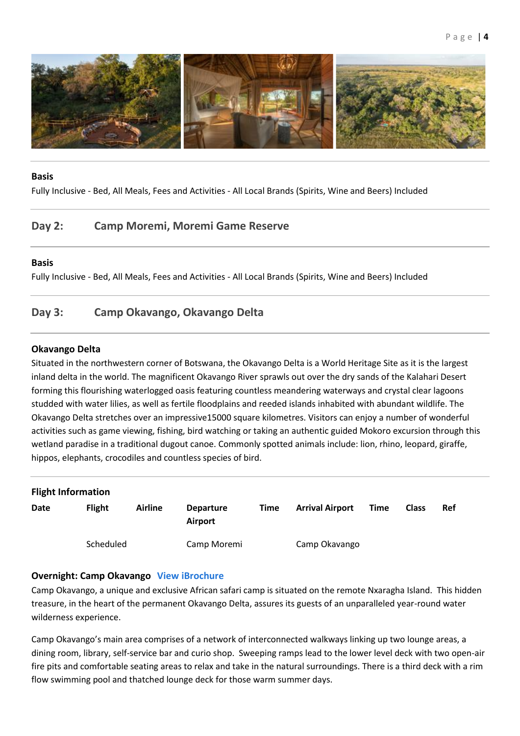

#### **Basis**

Fully Inclusive - Bed, All Meals, Fees and Activities - All Local Brands (Spirits, Wine and Beers) Included

# **Day 2: Camp Moremi, Moremi Game Reserve**

#### **Basis**

Fully Inclusive - Bed, All Meals, Fees and Activities - All Local Brands (Spirits, Wine and Beers) Included

# **Day 3: Camp Okavango, Okavango Delta**

#### **Okavango Delta**

Situated in the northwestern corner of Botswana, the Okavango Delta is a World Heritage Site as it is the largest inland delta in the world. The magnificent Okavango River sprawls out over the dry sands of the Kalahari Desert forming this flourishing waterlogged oasis featuring countless meandering waterways and crystal clear lagoons studded with water lilies, as well as fertile floodplains and reeded islands inhabited with abundant wildlife. The Okavango Delta stretches over an impressive15000 square kilometres. Visitors can enjoy a number of wonderful activities such as game viewing, fishing, bird watching or taking an authentic guided Mokoro excursion through this wetland paradise in a traditional dugout canoe. Commonly spotted animals include: lion, rhino, leopard, giraffe, hippos, elephants, crocodiles and countless species of bird.

| <b>Flight Information</b> |               |                |                             |      |                        |      |              |            |  |
|---------------------------|---------------|----------------|-----------------------------|------|------------------------|------|--------------|------------|--|
| <b>Date</b>               | <b>Flight</b> | <b>Airline</b> | <b>Departure</b><br>Airport | Time | <b>Arrival Airport</b> | Time | <b>Class</b> | <b>Ref</b> |  |
|                           | Scheduled     |                | Camp Moremi                 |      | Camp Okavango          |      |              |            |  |

#### **Overnight: Camp Okavango [View iBrochure](https://wetu.com/iBrochure/6585_19669_10099)**

Camp Okavango, a unique and exclusive African safari camp is situated on the remote Nxaragha Island. This hidden treasure, in the heart of the permanent Okavango Delta, assures its guests of an unparalleled year-round water wilderness experience.

Camp Okavango's main area comprises of a network of interconnected walkways linking up two lounge areas, a dining room, library, self-service bar and curio shop. Sweeping ramps lead to the lower level deck with two open-air fire pits and comfortable seating areas to relax and take in the natural surroundings. There is a third deck with a rim flow swimming pool and thatched lounge deck for those warm summer days.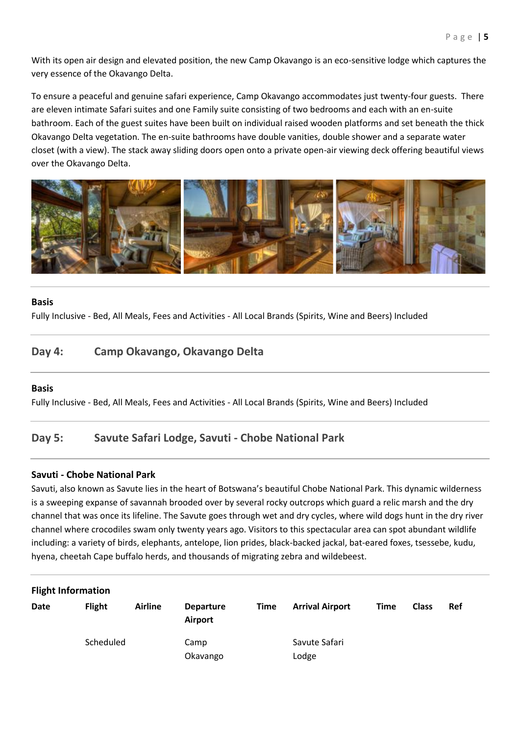With its open air design and elevated position, the new Camp Okavango is an eco-sensitive lodge which captures the very essence of the Okavango Delta.

To ensure a peaceful and genuine safari experience, Camp Okavango accommodates just twenty-four guests. There are eleven intimate Safari suites and one Family suite consisting of two bedrooms and each with an en-suite bathroom. Each of the guest suites have been built on individual raised wooden platforms and set beneath the thick Okavango Delta vegetation. The en-suite bathrooms have double vanities, double shower and a separate water closet (with a view). The stack away sliding doors open onto a private open-air viewing deck offering beautiful views over the Okavango Delta.



#### **Basis**

Fully Inclusive - Bed, All Meals, Fees and Activities - All Local Brands (Spirits, Wine and Beers) Included

# **Day 4: Camp Okavango, Okavango Delta**

#### **Basis**

Fully Inclusive - Bed, All Meals, Fees and Activities - All Local Brands (Spirits, Wine and Beers) Included

# **Day 5: Savute Safari Lodge, Savuti - Chobe National Park**

#### **Savuti - Chobe National Park**

Savuti, also known as Savute lies in the heart of Botswana's beautiful Chobe National Park. This dynamic wilderness is a sweeping expanse of savannah brooded over by several rocky outcrops which guard a relic marsh and the dry channel that was once its lifeline. The Savute goes through wet and dry cycles, where wild dogs hunt in the dry river channel where crocodiles swam only twenty years ago. Visitors to this spectacular area can spot abundant wildlife including: a variety of birds, elephants, antelope, lion prides, black-backed jackal, bat-eared foxes, tsessebe, kudu, hyena, cheetah Cape buffalo herds, and thousands of migrating zebra and wildebeest.

| <b>Flight Information</b> |               |                |                             |             |                        |             |              |     |  |
|---------------------------|---------------|----------------|-----------------------------|-------------|------------------------|-------------|--------------|-----|--|
| Date                      | <b>Flight</b> | <b>Airline</b> | <b>Departure</b><br>Airport | <b>Time</b> | <b>Arrival Airport</b> | <b>Time</b> | <b>Class</b> | Ref |  |
|                           | Scheduled     |                | Camp<br>Okavango            |             | Savute Safari<br>Lodge |             |              |     |  |